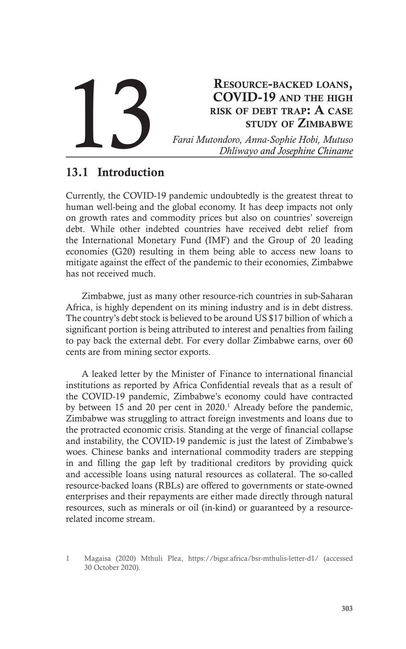# Resource-backed loans, COVID-19 and the high risk of debt trap: A case study of Zimbabwe **Farai Mutondoro, Anna-Sophie Hobi, Mutuso** *Dhliwayo and Josephine Chiname*

# 13.1 Introduction

Currently, the COVID-19 pandemic undoubtedly is the greatest threat to human well-being and the global economy. It has deep impacts not only on growth rates and commodity prices but also on countries' sovereign debt. While other indebted countries have received debt relief from the International Monetary Fund (IMF) and the Group of 20 leading economies (G20) resulting in them being able to access new loans to mitigate against the effect of the pandemic to their economies, Zimbabwe has not received much.

Zimbabwe, just as many other resource-rich countries in sub-Saharan Africa, is highly dependent on its mining industry and is in debt distress. The country's debt stock is believed to be around US \$17 billion of which a significant portion is being attributed to interest and penalties from failing to pay back the external debt. For every dollar Zimbabwe earns, over 60 cents are from mining sector exports.

A leaked letter by the Minister of Finance to international financial institutions as reported by Africa Confidential reveals that as a result of the COVID-19 pandemic, Zimbabwe's economy could have contracted by between 15 and 20 per cent in 2020.<sup>1</sup> Already before the pandemic, Zimbabwe was struggling to attract foreign investments and loans due to the protracted economic crisis. Standing at the verge of financial collapse and instability, the COVID-19 pandemic is just the latest of Zimbabwe's woes. Chinese banks and international commodity traders are stepping in and filling the gap left by traditional creditors by providing quick and accessible loans using natural resources as collateral. The so-called resource-backed loans (RBLs) are offered to governments or state-owned enterprises and their repayments are either made directly through natural resources, such as minerals or oil (in-kind) or guaranteed by a resourcerelated income stream.

<sup>1</sup> Magaisa (2020) Mthuli Plea, https://bigsr.africa/bsr-mthulis-letter-d1/ (accessed 30 October 2020).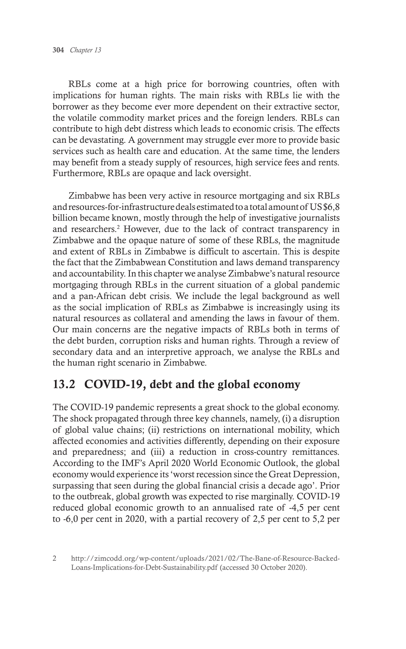RBLs come at a high price for borrowing countries, often with implications for human rights. The main risks with RBLs lie with the borrower as they become ever more dependent on their extractive sector, the volatile commodity market prices and the foreign lenders. RBLs can contribute to high debt distress which leads to economic crisis. The effects can be devastating. A government may struggle ever more to provide basic services such as health care and education. At the same time, the lenders may benefit from a steady supply of resources, high service fees and rents. Furthermore, RBLs are opaque and lack oversight.

Zimbabwe has been very active in resource mortgaging and six RBLs and resources-for-infrastructure deals estimated to a total amount of US \$6,8 billion became known, mostly through the help of investigative journalists and researchers.<sup>2</sup> However, due to the lack of contract transparency in Zimbabwe and the opaque nature of some of these RBLs, the magnitude and extent of RBLs in Zimbabwe is difficult to ascertain. This is despite the fact that the Zimbabwean Constitution and laws demand transparency and accountability. In this chapter we analyse Zimbabwe's natural resource mortgaging through RBLs in the current situation of a global pandemic and a pan-African debt crisis. We include the legal background as well as the social implication of RBLs as Zimbabwe is increasingly using its natural resources as collateral and amending the laws in favour of them. Our main concerns are the negative impacts of RBLs both in terms of the debt burden, corruption risks and human rights. Through a review of secondary data and an interpretive approach, we analyse the RBLs and the human right scenario in Zimbabwe.

# 13.2 COVID-19, debt and the global economy

The COVID-19 pandemic represents a great shock to the global economy. The shock propagated through three key channels, namely, (i) a disruption of global value chains; (ii) restrictions on international mobility, which affected economies and activities differently, depending on their exposure and preparedness; and (iii) a reduction in cross-country remittances. According to the IMF's April 2020 World Economic Outlook, the global economy would experience its 'worst recession since the Great Depression, surpassing that seen during the global financial crisis a decade ago'. Prior to the outbreak, global growth was expected to rise marginally. COVID-19 reduced global economic growth to an annualised rate of -4,5 per cent to -6,0 per cent in 2020, with a partial recovery of 2,5 per cent to 5,2 per

<sup>2</sup> http://zimcodd.org/wp-content/uploads/2021/02/The-Bane-of-Resource-Backed-Loans-Implications-for-Debt-Sustainability.pdf (accessed 30 October 2020).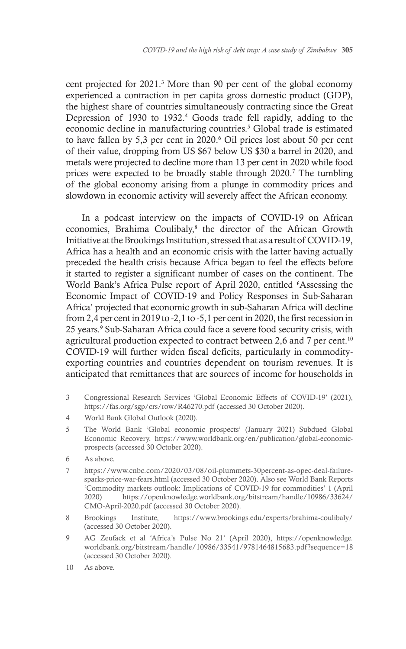cent projected for 2021.<sup>3</sup> More than 90 per cent of the global economy experienced a contraction in per capita gross domestic product (GDP), the highest share of countries simultaneously contracting since the Great Depression of 1930 to 1932.<sup>4</sup> Goods trade fell rapidly, adding to the economic decline in manufacturing countries.<sup>5</sup> Global trade is estimated to have fallen by 5,3 per cent in 2020.<sup>6</sup> Oil prices lost about 50 per cent of their value, dropping from US \$67 below US \$30 a barrel in 2020, and metals were projected to decline more than 13 per cent in 2020 while food prices were expected to be broadly stable through 2020.<sup>7</sup> The tumbling of the global economy arising from a plunge in commodity prices and slowdown in economic activity will severely affect the African economy.

In a podcast interview on the impacts of COVID-19 on African economies, Brahima Coulibaly,<sup>8</sup> the director of the African Growth Initiative at the Brookings Institution, stressed that as a result of COVID-19, Africa has a health and an economic crisis with the latter having actually preceded the health crisis because Africa began to feel the effects before it started to register a significant number of cases on the continent. The World Bank's Africa Pulse report of April 2020, entitled 'Assessing the Economic Impact of COVID-19 and Policy Responses in Sub-Saharan Africa' projected that economic growth in sub-Saharan Africa will decline from 2,4 per cent in 2019 to -2,1 to -5,1 per cent in 2020, the first recession in 25 years.<sup>9</sup> Sub-Saharan Africa could face a severe food security crisis, with agricultural production expected to contract between 2,6 and 7 per cent.<sup>10</sup> COVID-19 will further widen fiscal deficits, particularly in commodityexporting countries and countries dependent on tourism revenues. It is anticipated that remittances that are sources of income for households in

- 3 Congressional Research Services 'Global Economic Effects of COVID-19' (2021), https://fas.org/sgp/crs/row/R46270.pdf (accessed 30 October 2020).
- 4 World Bank Global Outlook (2020).
- 5 The World Bank 'Global economic prospects' (January 2021) Subdued Global Economic Recovery, https://www.worldbank.org/en/publication/global-economicprospects (accessed 30 October 2020).
- 6 As above.
- 7 https://www.cnbc.com/2020/03/08/oil-plummets-30percent-as-opec-deal-failuresparks-price-war-fears.html (accessed 30 October 2020). Also see World Bank Reports 'Commodity markets outlook: Implications of COVID-19 for commodities' 1 (April 2020) https://openknowledge.worldbank.org/bitstream/handle/10986/33624/ CMO-April-2020.pdf (accessed 30 October 2020).
- 8 Brookings Institute, https://www.brookings.edu/experts/brahima-coulibaly/ (accessed 30 October 2020).
- 9 AG Zeufack et al 'Africa's Pulse No 21' (April 2020), https://openknowledge. worldbank.org/bitstream/handle/10986/33541/9781464815683.pdf ?sequence=18 (accessed 30 October 2020).
- 10 As above.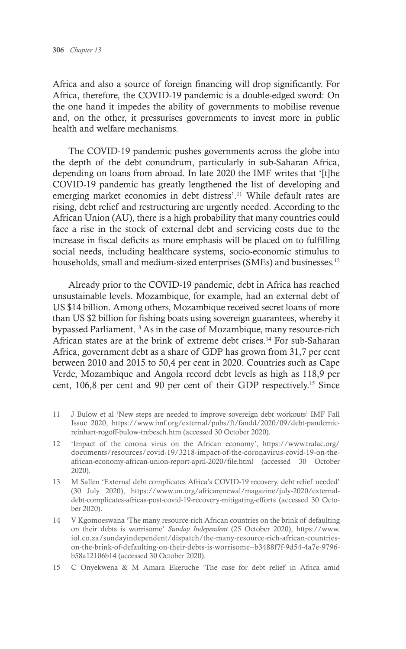Africa and also a source of foreign financing will drop significantly. For Africa, therefore, the COVID-19 pandemic is a double-edged sword: On the one hand it impedes the ability of governments to mobilise revenue and, on the other, it pressurises governments to invest more in public health and welfare mechanisms.

The COVID-19 pandemic pushes governments across the globe into the depth of the debt conundrum, particularly in sub-Saharan Africa, depending on loans from abroad. In late 2020 the IMF writes that '[t]he COVID-19 pandemic has greatly lengthened the list of developing and emerging market economies in debt distress'.<sup>11</sup> While default rates are rising, debt relief and restructuring are urgently needed. According to the African Union (AU), there is a high probability that many countries could face a rise in the stock of external debt and servicing costs due to the increase in fiscal deficits as more emphasis will be placed on to fulfilling social needs, including healthcare systems, socio-economic stimulus to households, small and medium-sized enterprises (SMEs) and businesses.<sup>12</sup>

Already prior to the COVID-19 pandemic, debt in Africa has reached unsustainable levels. Mozambique, for example, had an external debt of US \$14 billion. Among others, Mozambique received secret loans of more than US \$2 billion for fishing boats using sovereign guarantees, whereby it bypassed Parliament.<sup>13</sup> As in the case of Mozambique, many resource-rich African states are at the brink of extreme debt crises.<sup>14</sup> For sub-Saharan Africa, government debt as a share of GDP has grown from 31,7 per cent between 2010 and 2015 to 50,4 per cent in 2020. Countries such as Cape Verde, Mozambique and Angola record debt levels as high as 118,9 per cent, 106,8 per cent and 90 per cent of their GDP respectively.15 Since

- 11 J Bulow et al 'New steps are needed to improve sovereign debt workouts' IMF Fall Issue 2020, https://www.imf.org/external/pubs/ft/fandd/2020/09/debt-pandemicreinhart-rogoff-bulow-trebesch.htm (accessed 30 October 2020).
- 12 'Impact of the corona virus on the African economy', https://www.tralac.org/ documents/resources/covid-19/3218-impact-of-the-coronavirus-covid-19-on-theafrican-economy-african-union-report-april-2020/file.html (accessed 30 October 2020).
- 13 M Sallen 'External debt complicates Africa's COVID-19 recovery, debt relief needed' (30 July 2020), https://www.un.org/africarenewal/magazine/july-2020/externaldebt-complicates-africas-post-covid-19-recovery-mitigating-efforts (accessed 30 October 2020).
- 14 V Kgomoeswana 'The many resource-rich African countries on the brink of defaulting on their debts is worrisome' *Sunday Independent* (25 October 2020), https://www. iol.co.za/sundayindependent/dispatch/the-many-resource-rich-african-countrieson-the-brink-of-defaulting-on-their-debts-is-worrisome--b3488f7f-9d54-4a7e-9796 b58a12106b14 (accessed 30 October 2020).
- 15 C Onyekwena & M Amara Ekeruche 'The case for debt relief in Africa amid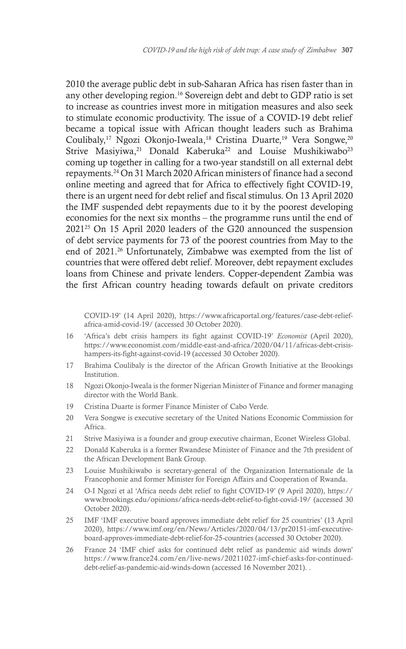2010 the average public debt in sub-Saharan Africa has risen faster than in any other developing region.16 Sovereign debt and debt to GDP ratio is set to increase as countries invest more in mitigation measures and also seek to stimulate economic productivity. The issue of a COVID-19 debt relief became a topical issue with African thought leaders such as Brahima Coulibaly,<sup>17</sup> Ngozi Okonjo-Iweala,<sup>18</sup> Cristina Duarte,<sup>19</sup> Vera Songwe,<sup>20</sup> Strive Masiyiwa,<sup>21</sup> Donald Kaberuka<sup>22</sup> and Louise Mushikiwabo<sup>23</sup> coming up together in calling for a two-year standstill on all external debt repayments.24 On 31 March 2020 African ministers of finance had a second online meeting and agreed that for Africa to effectively fight COVID-19, there is an urgent need for debt relief and fiscal stimulus. On 13 April 2020 the IMF suspended debt repayments due to it by the poorest developing economies for the next six months – the programme runs until the end of 202125 On 15 April 2020 leaders of the G20 announced the suspension of debt service payments for 73 of the poorest countries from May to the end of 2021.<sup>26</sup> Unfortunately, Zimbabwe was exempted from the list of countries that were offered debt relief. Moreover, debt repayment excludes loans from Chinese and private lenders. Copper-dependent Zambia was the first African country heading towards default on private creditors

COVID-19' (14 April 2020), https://www.africaportal.org/features/case-debt-reliefafrica-amid-covid-19/ (accessed 30 October 2020).

- 16 'Africa's debt crisis hampers its fight against COVID-19' *Economist* (April 2020), https://www.economist.com/middle-east-and-africa/2020/04/11/africas-debt-crisishampers-its-fight-against-covid-19 (accessed 30 October 2020).
- 17 Brahima Coulibaly is the director of the African Growth Initiative at the Brookings Institution.
- 18 Ngozi Okonjo-Iweala is the former Nigerian Minister of Finance and former managing director with the World Bank.
- 19 Cristina Duarte is former Finance Minister of Cabo Verde.
- 20 Vera Songwe is executive secretary of the United Nations Economic Commission for Africa.
- 21 Strive Masiyiwa is a founder and group executive chairman, Econet Wireless Global.
- 22 Donald Kaberuka is a former Rwandese Minister of Finance and the 7th president of the African Development Bank Group.
- 23 Louise Mushikiwabo is secretary-general of the Organization Internationale de la Francophonie and former Minister for Foreign Affairs and Cooperation of Rwanda.
- 24 O-I Ngozi et al 'Africa needs debt relief to fight COVID-19' (9 April 2020), https:// www.brookings.edu/opinions/africa-needs-debt-relief-to-fight-covid-19/ (accessed 30 October 2020).
- 25 IMF 'IMF executive board approves immediate debt relief for 25 countries' (13 April 2020), https://www.imf.org/en/News/Articles/2020/04/13/pr20151-imf-executiveboard-approves-immediate-debt-relief-for-25-countries (accessed 30 October 2020).
- 26 France 24 'IMF chief asks for continued debt relief as pandemic aid winds down' https://www.france24.com/en/live-news/20211027-imf-chief-asks-for-continueddebt-relief-as-pandemic-aid-winds-down (accessed 16 November 2021). .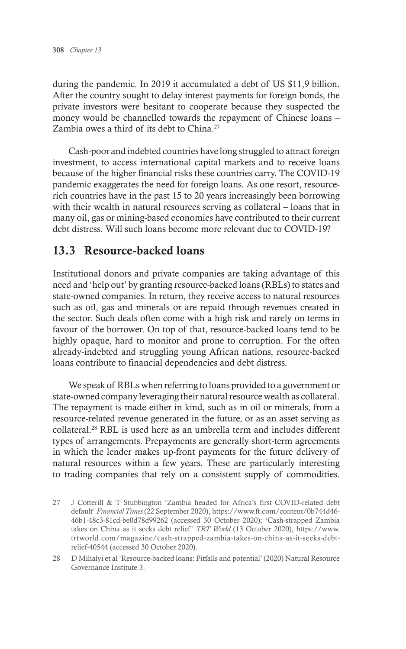during the pandemic. In 2019 it accumulated a debt of US \$11,9 billion. After the country sought to delay interest payments for foreign bonds, the private investors were hesitant to cooperate because they suspected the money would be channelled towards the repayment of Chinese loans – Zambia owes a third of its debt to China.<sup>27</sup>

Cash-poor and indebted countries have long struggled to attract foreign investment, to access international capital markets and to receive loans because of the higher financial risks these countries carry. The COVID-19 pandemic exaggerates the need for foreign loans. As one resort, resourcerich countries have in the past 15 to 20 years increasingly been borrowing with their wealth in natural resources serving as collateral – loans that in many oil, gas or mining-based economies have contributed to their current debt distress. Will such loans become more relevant due to COVID-19?

# 13.3 Resource-backed loans

Institutional donors and private companies are taking advantage of this need and 'help out' by granting resource-backed loans (RBLs) to states and state-owned companies. In return, they receive access to natural resources such as oil, gas and minerals or are repaid through revenues created in the sector. Such deals often come with a high risk and rarely on terms in favour of the borrower. On top of that, resource-backed loans tend to be highly opaque, hard to monitor and prone to corruption. For the often already-indebted and struggling young African nations, resource-backed loans contribute to financial dependencies and debt distress.

We speak of RBLs when referring to loans provided to a government or state-owned company leveraging their natural resource wealth as collateral. The repayment is made either in kind, such as in oil or minerals, from a resource-related revenue generated in the future, or as an asset serving as collateral.28 RBL is used here as an umbrella term and includes different types of arrangements. Prepayments are generally short-term agreements in which the lender makes up-front payments for the future delivery of natural resources within a few years. These are particularly interesting to trading companies that rely on a consistent supply of commodities.

<sup>27</sup> J Cotterill & T Stubbington 'Zambia headed for Africa's first COVID-related debt default' *Financial Times* (22 September 2020), https://www.ft.com/content/0b744d46- 46b1-48c3-81cd-be0d78d99262 (accessed 30 October 2020); 'Cash-strapped Zambia takes on China as it seeks debt relief' *TRT World* (13 October 2020), https://www. trtworld.com/magazine/cash-strapped-zambia-takes-on-china-as-it-seeks-debtrelief-40544 (accessed 30 October 2020).

<sup>28</sup> D Mihalyi et al 'Resource-backed loans: Pitfalls and potential' (2020) Natural Resource Governance Institute 3.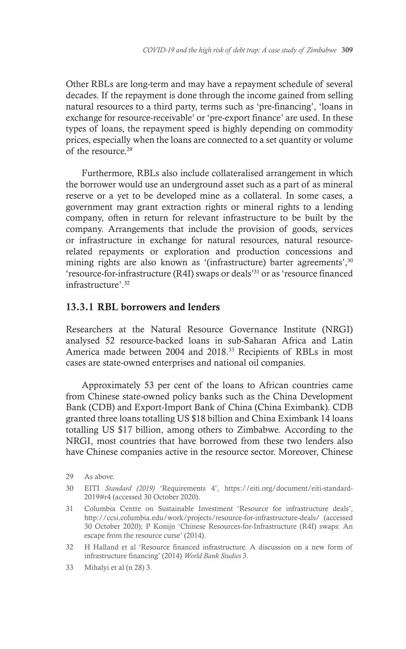Other RBLs are long-term and may have a repayment schedule of several decades. If the repayment is done through the income gained from selling natural resources to a third party, terms such as 'pre-financing', 'loans in exchange for resource-receivable' or 'pre-export finance' are used. In these types of loans, the repayment speed is highly depending on commodity prices, especially when the loans are connected to a set quantity or volume of the resource.29

Furthermore, RBLs also include collateralised arrangement in which the borrower would use an underground asset such as a part of as mineral reserve or a yet to be developed mine as a collateral. In some cases, a government may grant extraction rights or mineral rights to a lending company, often in return for relevant infrastructure to be built by the company. Arrangements that include the provision of goods, services or infrastructure in exchange for natural resources, natural resourcerelated repayments or exploration and production concessions and mining rights are also known as '(infrastructure) barter agreements', 30 'resource-for-infrastructure (R4I) swaps or deals'31 or as 'resource financed infrastructure'.32

#### 13.3.1 RBL borrowers and lenders

Researchers at the Natural Resource Governance Institute (NRGI) analysed 52 resource-backed loans in sub-Saharan Africa and Latin America made between 2004 and 2018.33 Recipients of RBLs in most cases are state-owned enterprises and national oil companies.

Approximately 53 per cent of the loans to African countries came from Chinese state-owned policy banks such as the China Development Bank (CDB) and Export-Import Bank of China (China Eximbank). CDB granted three loans totalling US \$18 billion and China Eximbank 14 loans totalling US \$17 billion, among others to Zimbabwe. According to the NRGI, most countries that have borrowed from these two lenders also have Chinese companies active in the resource sector. Moreover, Chinese

<sup>29</sup> As above.

<sup>30</sup> EITI *Standard (2019)* 'Requirements 4', https://eiti.org/document/eiti-standard-2019#r4 (accessed 30 October 2020).

<sup>31</sup> Columbia Centre on Sustainable Investment 'Resource for infrastructure deals', http://ccsi.columbia.edu/work/projects/resource-for-infrastructure-deals/ (accessed 30 October 2020); P Konijn 'Chinese Resources-for-Infrastructure (R4I) swaps: An escape from the resource curse' (2014).

<sup>32</sup> H Halland et al 'Resource financed infrastructure. A discussion on a new form of infrastructure financing' (2014) *World Bank Studies* 3.

<sup>33</sup> Mihalyi et al (n 28) 3.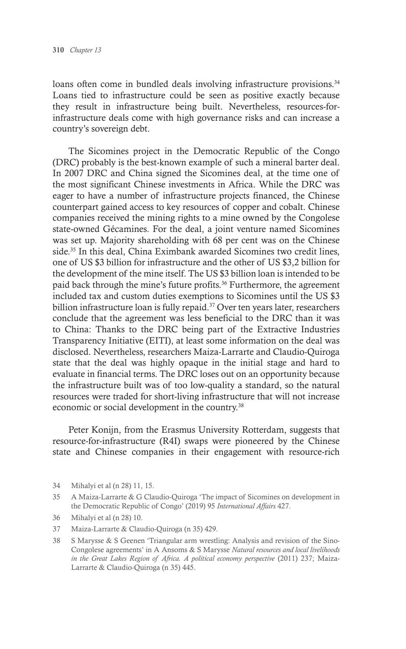loans often come in bundled deals involving infrastructure provisions.<sup>34</sup> Loans tied to infrastructure could be seen as positive exactly because they result in infrastructure being built. Nevertheless, resources-forinfrastructure deals come with high governance risks and can increase a country's sovereign debt.

The Sicomines project in the Democratic Republic of the Congo (DRC) probably is the best-known example of such a mineral barter deal. In 2007 DRC and China signed the Sicomines deal, at the time one of the most significant Chinese investments in Africa. While the DRC was eager to have a number of infrastructure projects financed, the Chinese counterpart gained access to key resources of copper and cobalt. Chinese companies received the mining rights to a mine owned by the Congolese state-owned Gécamines. For the deal, a joint venture named Sicomines was set up. Majority shareholding with 68 per cent was on the Chinese side.<sup>35</sup> In this deal, China Eximbank awarded Sicomines two credit lines, one of US \$3 billion for infrastructure and the other of US \$3,2 billion for the development of the mine itself. The US \$3 billion loan is intended to be paid back through the mine's future profits.<sup>36</sup> Furthermore, the agreement included tax and custom duties exemptions to Sicomines until the US \$3 billion infrastructure loan is fully repaid.<sup>37</sup> Over ten years later, researchers conclude that the agreement was less beneficial to the DRC than it was to China: Thanks to the DRC being part of the Extractive Industries Transparency Initiative (EITI), at least some information on the deal was disclosed. Nevertheless, researchers Maiza-Larrarte and Claudio-Quiroga state that the deal was highly opaque in the initial stage and hard to evaluate in financial terms. The DRC loses out on an opportunity because the infrastructure built was of too low-quality a standard, so the natural resources were traded for short-living infrastructure that will not increase economic or social development in the country.<sup>38</sup>

Peter Konijn, from the Erasmus University Rotterdam, suggests that resource-for-infrastructure (R4I) swaps were pioneered by the Chinese state and Chinese companies in their engagement with resource-rich

38 S Marysse & S Geenen 'Triangular arm wrestling: Analysis and revision of the Sino-Congolese agreements' in A Ansoms & S Marysse *Natural resources and local livelihoods in the Great Lakes Region of Africa. A political economy perspective* (2011) 237; Maiza-Larrarte & Claudio-Quiroga (n 35) 445.

<sup>34</sup> Mihalyi et al (n 28) 11, 15.

<sup>35</sup> A Maiza-Larrarte & G Claudio-Quiroga 'The impact of Sicomines on development in the Democratic Republic of Congo' (2019) 95 *International Affairs* 427.

<sup>36</sup> Mihalyi et al (n 28) 10.

<sup>37</sup> Maiza-Larrarte & Claudio-Quiroga (n 35) 429.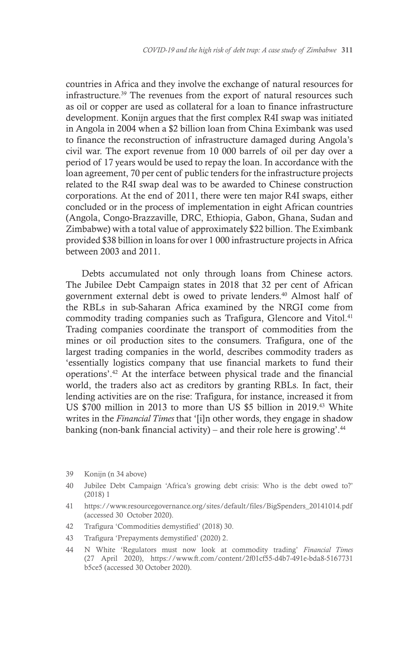countries in Africa and they involve the exchange of natural resources for infrastructure.39 The revenues from the export of natural resources such as oil or copper are used as collateral for a loan to finance infrastructure development. Konijn argues that the first complex R4I swap was initiated in Angola in 2004 when a \$2 billion loan from China Eximbank was used to finance the reconstruction of infrastructure damaged during Angola's civil war. The export revenue from 10 000 barrels of oil per day over a period of 17 years would be used to repay the loan. In accordance with the loan agreement, 70 per cent of public tenders for the infrastructure projects related to the R4I swap deal was to be awarded to Chinese construction corporations. At the end of 2011, there were ten major R4I swaps, either concluded or in the process of implementation in eight African countries (Angola, Congo-Brazzaville, DRC, Ethiopia, Gabon, Ghana, Sudan and Zimbabwe) with a total value of approximately \$22 billion. The Eximbank provided \$38 billion in loans for over 1 000 infrastructure projects in Africa between 2003 and 2011.

Debts accumulated not only through loans from Chinese actors. The Jubilee Debt Campaign states in 2018 that 32 per cent of African government external debt is owed to private lenders.40 Almost half of the RBLs in sub-Saharan Africa examined by the NRGI come from commodity trading companies such as Trafigura, Glencore and Vitol.<sup>41</sup> Trading companies coordinate the transport of commodities from the mines or oil production sites to the consumers. Trafigura, one of the largest trading companies in the world, describes commodity traders as 'essentially logistics company that use financial markets to fund their operations'.42 At the interface between physical trade and the financial world, the traders also act as creditors by granting RBLs. In fact, their lending activities are on the rise: Trafigura, for instance, increased it from US \$700 million in 2013 to more than US \$5 billion in 2019.43 White writes in the *Financial Times* that '[i]n other words, they engage in shadow banking (non-bank financial activity) – and their role here is growing'. $44$ 

- 42 Trafigura 'Commodities demystified' (2018) 30.
- 43 Trafigura 'Prepayments demystified' (2020) 2.
- 44 N White 'Regulators must now look at commodity trading' *Financial Times* (27 April 2020), https://www.ft.com/content/2f01cf55-d4b7-491e-bda8-5167731 b5ce5 (accessed 30 October 2020).

<sup>39</sup> Konijn (n 34 above)

<sup>40</sup> Jubilee Debt Campaign 'Africa's growing debt crisis: Who is the debt owed to?' (2018) 1

<sup>41</sup> https://www.resourcegovernance.org/sites/default/files/BigSpenders\_20141014.pdf (accessed 30 October 2020).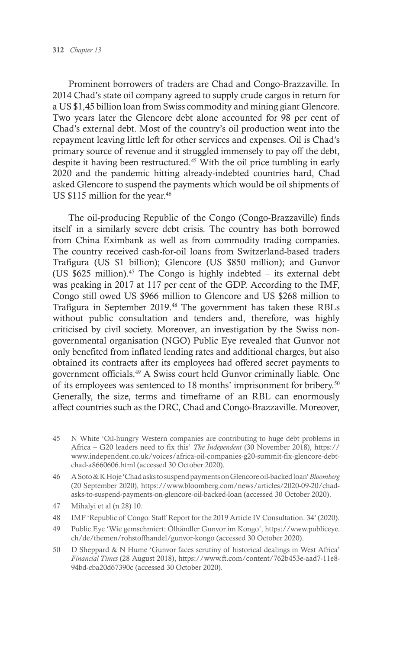Prominent borrowers of traders are Chad and Congo-Brazzaville. In 2014 Chad's state oil company agreed to supply crude cargos in return for a US \$1,45 billion loan from Swiss commodity and mining giant Glencore. Two years later the Glencore debt alone accounted for 98 per cent of Chad's external debt. Most of the country's oil production went into the repayment leaving little left for other services and expenses. Oil is Chad's primary source of revenue and it struggled immensely to pay off the debt, despite it having been restructured.<sup>45</sup> With the oil price tumbling in early 2020 and the pandemic hitting already-indebted countries hard, Chad asked Glencore to suspend the payments which would be oil shipments of US \$115 million for the year.<sup>46</sup>

The oil-producing Republic of the Congo (Congo-Brazzaville) finds itself in a similarly severe debt crisis. The country has both borrowed from China Eximbank as well as from commodity trading companies. The country received cash-for-oil loans from Switzerland-based traders Trafigura (US \$1 billion); Glencore (US \$850 million); and Gunvor (US  $$625$  million).<sup>47</sup> The Congo is highly indebted – its external debt was peaking in 2017 at 117 per cent of the GDP. According to the IMF, Congo still owed US \$966 million to Glencore and US \$268 million to Trafigura in September 2019.48 The government has taken these RBLs without public consultation and tenders and, therefore, was highly criticised by civil society. Moreover, an investigation by the Swiss nongovernmental organisation (NGO) Public Eye revealed that Gunvor not only benefited from inflated lending rates and additional charges, but also obtained its contracts after its employees had offered secret payments to government officials.49 A Swiss court held Gunvor criminally liable. One of its employees was sentenced to 18 months' imprisonment for bribery.50 Generally, the size, terms and timeframe of an RBL can enormously affect countries such as the DRC, Chad and Congo-Brazzaville. Moreover,

- 45 N White 'Oil-hungry Western companies are contributing to huge debt problems in Africa – G20 leaders need to fix this' *The Independent* (30 November 2018), https:// www.independent.co.uk/voices/africa-oil-companies-g20-summit-fix-glencore-debtchad-a8660606.html (accessed 30 October 2020).
- 46 A Soto & K Hoje 'Chad asks to suspend payments on Glencore oil-backed loan' *Bloomberg* (20 September 2020), https://www.bloomberg.com/news/articles/2020-09-20/chadasks-to-suspend-payments-on-glencore-oil-backed-loan (accessed 30 October 2020).
- 47 Mihalyi et al (n 28) 10.
- 48 IMF 'Republic of Congo. Staff Report for the 2019 Article IV Consultation. 34' (2020).
- 49 Public Eye 'Wie gemschmiert: Ölhändler Gunvor im Kongo', https://www.publiceye. ch/de/themen/rohstoffhandel/gunvor-kongo (accessed 30 October 2020).
- 50 D Sheppard & N Hume 'Gunvor faces scrutiny of historical dealings in West Africa' *Financial Times* (28 August 2018), https://www.ft.com/content/762b453e-aad7-11e8- 94bd-cba20d67390c (accessed 30 October 2020).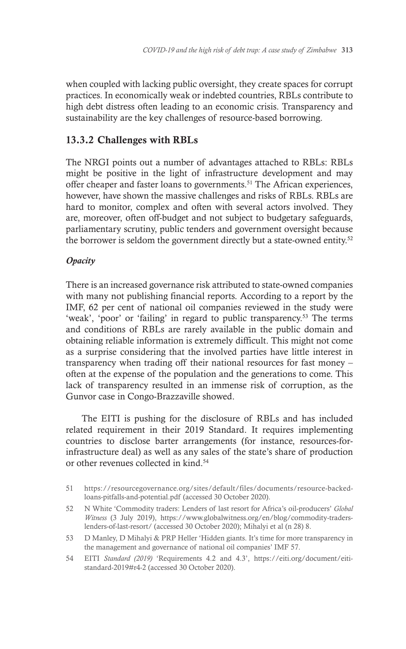when coupled with lacking public oversight, they create spaces for corrupt practices. In economically weak or indebted countries, RBLs contribute to high debt distress often leading to an economic crisis. Transparency and sustainability are the key challenges of resource-based borrowing.

# 13.3.2 Challenges with RBLs

The NRGI points out a number of advantages attached to RBLs: RBLs might be positive in the light of infrastructure development and may offer cheaper and faster loans to governments.<sup>51</sup> The African experiences, however, have shown the massive challenges and risks of RBLs. RBLs are hard to monitor, complex and often with several actors involved. They are, moreover, often off-budget and not subject to budgetary safeguards, parliamentary scrutiny, public tenders and government oversight because the borrower is seldom the government directly but a state-owned entity.52

### *Opacity*

There is an increased governance risk attributed to state-owned companies with many not publishing financial reports. According to a report by the IMF, 62 per cent of national oil companies reviewed in the study were 'weak', 'poor' or 'failing' in regard to public transparency.53 The terms and conditions of RBLs are rarely available in the public domain and obtaining reliable information is extremely difficult. This might not come as a surprise considering that the involved parties have little interest in transparency when trading off their national resources for fast money – often at the expense of the population and the generations to come. This lack of transparency resulted in an immense risk of corruption, as the Gunvor case in Congo-Brazzaville showed.

The EITI is pushing for the disclosure of RBLs and has included related requirement in their 2019 Standard. It requires implementing countries to disclose barter arrangements (for instance, resources-forinfrastructure deal) as well as any sales of the state's share of production or other revenues collected in kind.<sup>54</sup>

<sup>51</sup> https://resourcegovernance.org/sites/default/files/documents/resource-backedloans-pitfalls-and-potential.pdf (accessed 30 October 2020).

<sup>52</sup> N White 'Commodity traders: Lenders of last resort for Africa's oil-producers' *Global Witness* (3 July 2019), https://www.globalwitness.org/en/blog/commodity-traderslenders-of-last-resort/ (accessed 30 October 2020); Mihalyi et al (n 28) 8.

<sup>53</sup> D Manley, D Mihalyi & PRP Heller 'Hidden giants. It's time for more transparency in the management and governance of national oil companies' IMF 57.

<sup>54</sup> EITI *Standard (2019)* 'Requirements 4.2 and 4.3', https://eiti.org/document/eitistandard-2019#r4-2 (accessed 30 October 2020).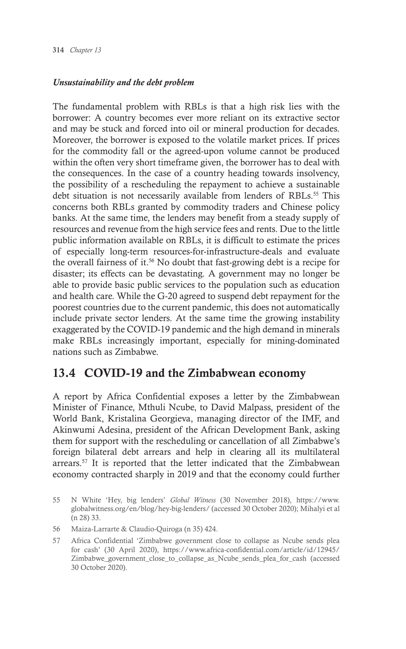#### *Unsustainability and the debt problem*

The fundamental problem with RBLs is that a high risk lies with the borrower: A country becomes ever more reliant on its extractive sector and may be stuck and forced into oil or mineral production for decades. Moreover, the borrower is exposed to the volatile market prices. If prices for the commodity fall or the agreed-upon volume cannot be produced within the often very short timeframe given, the borrower has to deal with the consequences. In the case of a country heading towards insolvency, the possibility of a rescheduling the repayment to achieve a sustainable debt situation is not necessarily available from lenders of RBLs.<sup>55</sup> This concerns both RBLs granted by commodity traders and Chinese policy banks. At the same time, the lenders may benefit from a steady supply of resources and revenue from the high service fees and rents. Due to the little public information available on RBLs, it is difficult to estimate the prices of especially long-term resources-for-infrastructure-deals and evaluate the overall fairness of it.<sup>56</sup> No doubt that fast-growing debt is a recipe for disaster; its effects can be devastating. A government may no longer be able to provide basic public services to the population such as education and health care. While the G-20 agreed to suspend debt repayment for the poorest countries due to the current pandemic, this does not automatically include private sector lenders. At the same time the growing instability exaggerated by the COVID-19 pandemic and the high demand in minerals make RBLs increasingly important, especially for mining-dominated nations such as Zimbabwe.

# 13.4 COVID-19 and the Zimbabwean economy

A report by Africa Confidential exposes a letter by the Zimbabwean Minister of Finance, Mthuli Ncube, to David Malpass, president of the World Bank, Kristalina Georgieva, managing director of the IMF, and Akinwumi Adesina, president of the African Development Bank, asking them for support with the rescheduling or cancellation of all Zimbabwe's foreign bilateral debt arrears and help in clearing all its multilateral arrears.57 It is reported that the letter indicated that the Zimbabwean economy contracted sharply in 2019 and that the economy could further

<sup>55</sup> N White 'Hey, big lenders' *Global Witness* (30 November 2018), https://www. globalwitness.org/en/blog/hey-big-lenders/ (accessed 30 October 2020); Mihalyi et al (n 28) 33.

<sup>56</sup> Maiza-Larrarte & Claudio-Quiroga (n 35) 424.

<sup>57</sup> Africa Confidential 'Zimbabwe government close to collapse as Ncube sends plea for cash' (30 April 2020), https://www.africa-confidential.com/article/id/12945/ Zimbabwe\_government\_close\_to\_collapse\_as\_Ncube\_sends\_plea\_for\_cash (accessed 30 October 2020).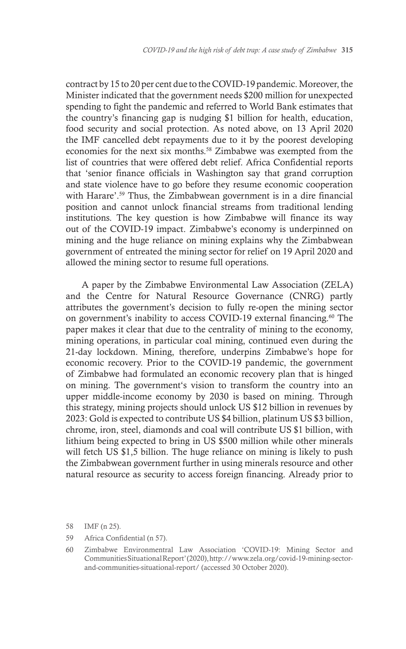contract by 15 to 20 per cent due to the COVID-19 pandemic. Moreover, the Minister indicated that the government needs \$200 million for unexpected spending to fight the pandemic and referred to World Bank estimates that the country's financing gap is nudging \$1 billion for health, education, food security and social protection. As noted above, on 13 April 2020 the IMF cancelled debt repayments due to it by the poorest developing economies for the next six months.58 Zimbabwe was exempted from the list of countries that were offered debt relief. Africa Confidential reports that 'senior finance officials in Washington say that grand corruption and state violence have to go before they resume economic cooperation with Harare'.<sup>59</sup> Thus, the Zimbabwean government is in a dire financial position and cannot unlock financial streams from traditional lending institutions. The key question is how Zimbabwe will finance its way out of the COVID-19 impact. Zimbabwe's economy is underpinned on mining and the huge reliance on mining explains why the Zimbabwean government of entreated the mining sector for relief on 19 April 2020 and allowed the mining sector to resume full operations.

A paper by the Zimbabwe Environmental Law Association (ZELA) and the Centre for Natural Resource Governance (CNRG) partly attributes the government's decision to fully re-open the mining sector on government's inability to access COVID-19 external financing.<sup>60</sup> The paper makes it clear that due to the centrality of mining to the economy, mining operations, in particular coal mining, continued even during the 21-day lockdown. Mining, therefore, underpins Zimbabwe's hope for economic recovery. Prior to the COVID-19 pandemic, the government of Zimbabwe had formulated an economic recovery plan that is hinged on mining. The government's vision to transform the country into an upper middle-income economy by 2030 is based on mining. Through this strategy, mining projects should unlock US \$12 billion in revenues by 2023: Gold is expected to contribute US \$4 billion, platinum US \$3 billion, chrome, iron, steel, diamonds and coal will contribute US \$1 billion, with lithium being expected to bring in US \$500 million while other minerals will fetch US \$1,5 billion. The huge reliance on mining is likely to push the Zimbabwean government further in using minerals resource and other natural resource as security to access foreign financing. Already prior to

- 58 IMF (n 25).
- 59 Africa Confidential (n 57).

<sup>60</sup> Zimbabwe Environmentral Law Association 'COVID-19: Mining Sector and Communities Situational Report' (2020),http://www.zela.org/covid-19-mining-sectorand-communities-situational-report/ (accessed 30 October 2020).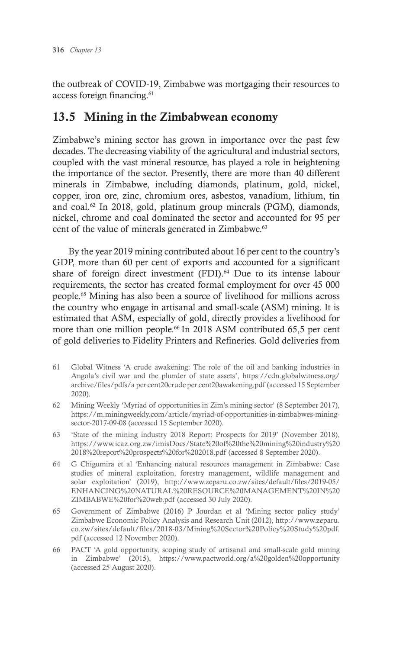the outbreak of COVID-19, Zimbabwe was mortgaging their resources to access foreign financing.<sup>61</sup>

# 13.5 Mining in the Zimbabwean economy

Zimbabwe's mining sector has grown in importance over the past few decades. The decreasing viability of the agricultural and industrial sectors, coupled with the vast mineral resource, has played a role in heightening the importance of the sector. Presently, there are more than 40 different minerals in Zimbabwe, including diamonds, platinum, gold, nickel, copper, iron ore, zinc, chromium ores, asbestos, vanadium, lithium, tin and coal.<sup>62</sup> In 2018, gold, platinum group minerals (PGM), diamonds, nickel, chrome and coal dominated the sector and accounted for 95 per cent of the value of minerals generated in Zimbabwe.<sup>63</sup>

By the year 2019 mining contributed about 16 per cent to the country's GDP, more than 60 per cent of exports and accounted for a significant share of foreign direct investment (FDI).<sup>64</sup> Due to its intense labour requirements, the sector has created formal employment for over 45 000 people.65 Mining has also been a source of livelihood for millions across the country who engage in artisanal and small-scale (ASM) mining. It is estimated that ASM, especially of gold, directly provides a livelihood for more than one million people.<sup>66</sup> In 2018 ASM contributed 65,5 per cent of gold deliveries to Fidelity Printers and Refineries. Gold deliveries from

- 61 Global Witness 'A crude awakening: The role of the oil and banking industries in Angola's civil war and the plunder of state assets', https://cdn.globalwitness.org/ archive/files/pdfs/a per cent20crude per cent20awakening.pdf (accessed 15 September 2020).
- 62 Mining Weekly 'Myriad of opportunities in Zim's mining sector' (8 September 2017), https://m.miningweekly.com/article/myriad-of-opportunities-in-zimbabwes-miningsector-2017-09-08 (accessed 15 September 2020).
- 63 'State of the mining industry 2018 Report: Prospects for 2019' (November 2018), https://www.icaz.org.zw/imisDocs/State%20of%20the%20mining%20industry%20 2018%20report%20prospects%20for%202018.pdf (accessed 8 September 2020).
- 64 G Chigumira et al 'Enhancing natural resources management in Zimbabwe: Case studies of mineral exploitation, forestry management, wildlife management and solar exploitation' (2019), http://www.zeparu.co.zw/sites/default/files/2019-05/ ENHANCING%20NATURAL%20RESOURCE%20MANAGEMENT%20IN%20 ZIMBABWE%20for%20web.pdf (accessed 30 July 2020).
- 65 Government of Zimbabwe (2016) P Jourdan et al 'Mining sector policy study' Zimbabwe Economic Policy Analysis and Research Unit (2012), http://www.zeparu. co.zw/sites/default/files/2018-03/Mining%20Sector%20Policy%20Study%20pdf. pdf (accessed 12 November 2020).
- 66 PACT 'A gold opportunity, scoping study of artisanal and small-scale gold mining in Zimbabwe' (2015), https://www.pactworld.org/a%20golden%20opportunity (accessed 25 August 2020).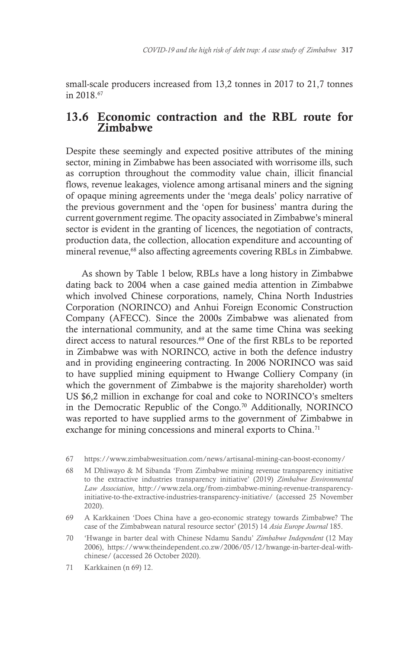small-scale producers increased from 13,2 tonnes in 2017 to 21,7 tonnes in 2018.<sup>67</sup>

# 13.6 Economic contraction and the RBL route for Zimbabwe

Despite these seemingly and expected positive attributes of the mining sector, mining in Zimbabwe has been associated with worrisome ills, such as corruption throughout the commodity value chain, illicit financial flows, revenue leakages, violence among artisanal miners and the signing of opaque mining agreements under the 'mega deals' policy narrative of the previous government and the 'open for business' mantra during the current government regime. The opacity associated in Zimbabwe's mineral sector is evident in the granting of licences, the negotiation of contracts, production data, the collection, allocation expenditure and accounting of mineral revenue,<sup>68</sup> also affecting agreements covering RBLs in Zimbabwe.

As shown by Table 1 below, RBLs have a long history in Zimbabwe dating back to 2004 when a case gained media attention in Zimbabwe which involved Chinese corporations, namely, China North Industries Corporation (NORINCO) and Anhui Foreign Economic Construction Company (AFECC). Since the 2000s Zimbabwe was alienated from the international community, and at the same time China was seeking direct access to natural resources.<sup>69</sup> One of the first RBLs to be reported in Zimbabwe was with NORINCO, active in both the defence industry and in providing engineering contracting. In 2006 NORINCO was said to have supplied mining equipment to Hwange Colliery Company (in which the government of Zimbabwe is the majority shareholder) worth US \$6,2 million in exchange for coal and coke to NORINCO's smelters in the Democratic Republic of the Congo.70 Additionally, NORINCO was reported to have supplied arms to the government of Zimbabwe in exchange for mining concessions and mineral exports to China.<sup>71</sup>

- 68 M Dhliwayo & M Sibanda 'From Zimbabwe mining revenue transparency initiative to the extractive industries transparency initiative' (2019) *Zimbabwe Environmental Law Association*, http://www.zela.org/from-zimbabwe-mining-revenue-transparencyinitiative-to-the-extractive-industries-transparency-initiative/ (accessed 25 November 2020).
- 69 A Karkkainen 'Does China have a geo-economic strategy towards Zimbabwe? The case of the Zimbabwean natural resource sector' (2015) 14 *Asia Europe Journal* 185.
- 70 'Hwange in barter deal with Chinese Ndamu Sandu' *Zimbabwe Independent* (12 May 2006), https://www.theindependent.co.zw/2006/05/12/hwange-in-barter-deal-withchinese/ (accessed 26 October 2020).
- 71 Karkkainen (n 69) 12.

<sup>67</sup> https://www.zimbabwesituation.com/news/artisanal-mining-can-boost-economy/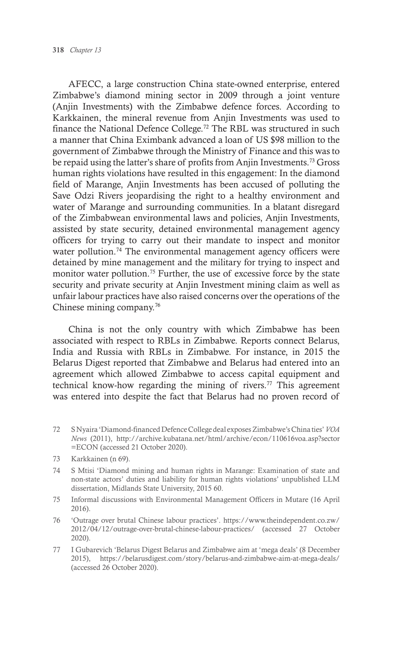AFECC, a large construction China state-owned enterprise, entered Zimbabwe's diamond mining sector in 2009 through a joint venture (Anjin Investments) with the Zimbabwe defence forces. According to Karkkainen, the mineral revenue from Anjin Investments was used to finance the National Defence College.<sup>72</sup> The RBL was structured in such a manner that China Eximbank advanced a loan of US \$98 million to the government of Zimbabwe through the Ministry of Finance and this was to be repaid using the latter's share of profits from Anjin Investments.73 Gross human rights violations have resulted in this engagement: In the diamond field of Marange, Anjin Investments has been accused of polluting the Save Odzi Rivers jeopardising the right to a healthy environment and water of Marange and surrounding communities. In a blatant disregard of the Zimbabwean environmental laws and policies, Anjin Investments, assisted by state security, detained environmental management agency officers for trying to carry out their mandate to inspect and monitor water pollution.<sup>74</sup> The environmental management agency officers were detained by mine management and the military for trying to inspect and monitor water pollution.<sup>75</sup> Further, the use of excessive force by the state security and private security at Anjin Investment mining claim as well as unfair labour practices have also raised concerns over the operations of the Chinese mining company.76

China is not the only country with which Zimbabwe has been associated with respect to RBLs in Zimbabwe. Reports connect Belarus, India and Russia with RBLs in Zimbabwe. For instance, in 2015 the Belarus Digest reported that Zimbabwe and Belarus had entered into an agreement which allowed Zimbabwe to access capital equipment and technical know-how regarding the mining of rivers.<sup>77</sup> This agreement was entered into despite the fact that Belarus had no proven record of

- 72 S Nyaira 'Diamond-financed Defence College deal exposes Zimbabwe's China ties' *VOA News* (2011), http://archive.kubatana.net/html/archive/econ/110616voa.asp?sector =ECON (accessed 21 October 2020).
- 73 Karkkainen (n 69).
- 74 S Mtisi 'Diamond mining and human rights in Marange: Examination of state and non-state actors' duties and liability for human rights violations' unpublished LLM dissertation, Midlands State University, 2015 60.
- 75 Informal discussions with Environmental Management Officers in Mutare (16 April 2016).
- 76 'Outrage over brutal Chinese labour practices'. https://www.theindependent.co.zw/ 2012/04/12/outrage-over-brutal-chinese-labour-practices/ (accessed 27 October 2020).
- 77 I Gubarevich 'Belarus Digest Belarus and Zimbabwe aim at 'mega deals' (8 December 2015), https://belarusdigest.com/story/belarus-and-zimbabwe-aim-at-mega-deals/ (accessed 26 October 2020).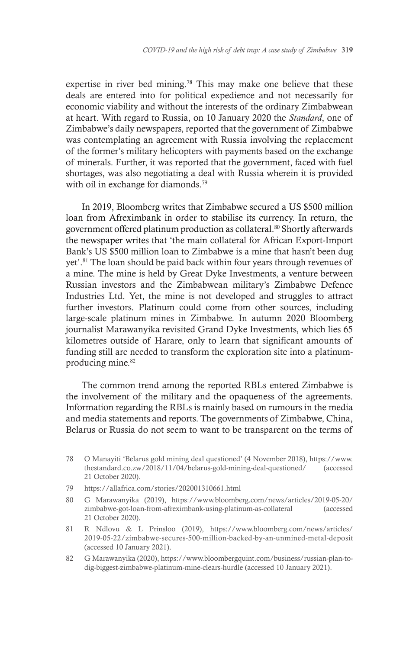expertise in river bed mining.<sup>78</sup> This may make one believe that these deals are entered into for political expedience and not necessarily for economic viability and without the interests of the ordinary Zimbabwean at heart. With regard to Russia, on 10 January 2020 the *Standard*, one of Zimbabwe's daily newspapers, reported that the government of Zimbabwe was contemplating an agreement with Russia involving the replacement of the former's military helicopters with payments based on the exchange of minerals. Further, it was reported that the government, faced with fuel shortages, was also negotiating a deal with Russia wherein it is provided with oil in exchange for diamonds.<sup>79</sup>

In 2019, Bloomberg writes that Zimbabwe secured a US \$500 million loan from Afreximbank in order to stabilise its currency. In return, the government offered platinum production as collateral.80 Shortly afterwards the newspaper writes that 'the main collateral for African Export-Import Bank's US \$500 million loan to Zimbabwe is a mine that hasn't been dug yet'.81 The loan should be paid back within four years through revenues of a mine. The mine is held by Great Dyke Investments, a venture between Russian investors and the Zimbabwean military's Zimbabwe Defence Industries Ltd. Yet, the mine is not developed and struggles to attract further investors. Platinum could come from other sources, including large-scale platinum mines in Zimbabwe. In autumn 2020 Bloomberg journalist Marawanyika revisited Grand Dyke Investments, which lies 65 kilometres outside of Harare, only to learn that significant amounts of funding still are needed to transform the exploration site into a platinumproducing mine.<sup>82</sup>

The common trend among the reported RBLs entered Zimbabwe is the involvement of the military and the opaqueness of the agreements. Information regarding the RBLs is mainly based on rumours in the media and media statements and reports. The governments of Zimbabwe, China, Belarus or Russia do not seem to want to be transparent on the terms of

- 78 O Manayiti 'Belarus gold mining deal questioned' (4 November 2018), https://www. thestandard.co.zw/2018/11/04/belarus-gold-mining-deal-questioned/ (accessed 21 October 2020).
- 79 https://allafrica.com/stories/202001310661.html
- 80 G Marawanyika (2019), https://www.bloomberg.com/news/articles/2019-05-20/ zimbabwe-got-loan-from-afreximbank-using-platinum-as-collateral (accessed 21 October 2020).
- 81 R Ndlovu & L Prinsloo (2019), https://www.bloomberg.com/news/articles/ 2019-05-22/zimbabwe-secures-500-million-backed-by-an-unmined-metal-deposit (accessed 10 January 2021).
- 82 G Marawanyika (2020), https://www.bloombergquint.com/business/russian-plan-todig-biggest-zimbabwe-platinum-mine-clears-hurdle (accessed 10 January 2021).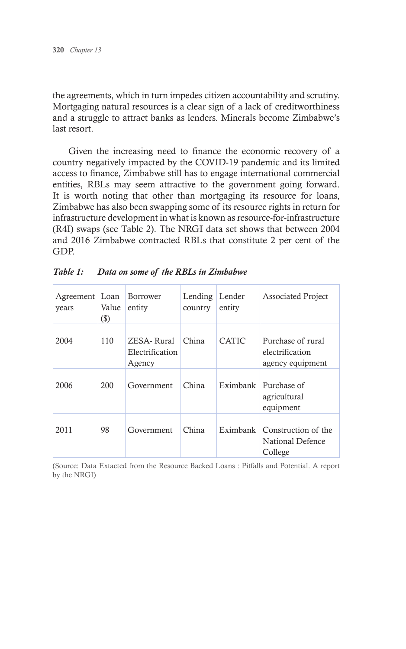the agreements, which in turn impedes citizen accountability and scrutiny. Mortgaging natural resources is a clear sign of a lack of creditworthiness and a struggle to attract banks as lenders. Minerals become Zimbabwe's last resort.

Given the increasing need to finance the economic recovery of a country negatively impacted by the COVID-19 pandemic and its limited access to finance, Zimbabwe still has to engage international commercial entities, RBLs may seem attractive to the government going forward. It is worth noting that other than mortgaging its resource for loans, Zimbabwe has also been swapping some of its resource rights in return for infrastructure development in what is known as resource-for-infrastructure (R4I) swaps (see Table 2). The NRGI data set shows that between 2004 and 2016 Zimbabwe contracted RBLs that constitute 2 per cent of the GDP.

| Agreement Loan<br>years | Value<br>$(\$)$ | Borrower<br>entity                      | Lending<br>country | Lender<br>entity | <b>Associated Project</b>                                |
|-------------------------|-----------------|-----------------------------------------|--------------------|------------------|----------------------------------------------------------|
| 2004                    | 110             | ZESA-Rural<br>Electrification<br>Agency | China              | <b>CATIC</b>     | Purchase of rural<br>electrification<br>agency equipment |
| 2006                    | 200             | Government                              | China              | Eximbank         | Purchase of<br>agricultural<br>equipment                 |
| 2011                    | 98              | Government                              | China              | Eximbank         | Construction of the<br>National Defence<br>College       |

| Table 1: | Data on some of the RBLs in Zimbabwe |  |  |  |
|----------|--------------------------------------|--|--|--|
|----------|--------------------------------------|--|--|--|

(Source: Data Extacted from the Resource Backed Loans : Pitfalls and Potential. A report by the NRGI)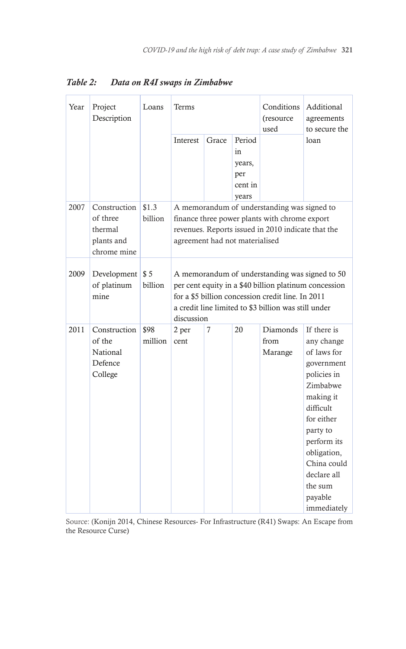| Year | Project<br>Description                                           | Loans            | Terms                                                                                                                                                                                                                              |       |                                                   | Conditions<br>(resource<br>used | Additional<br>agreements<br>to secure the                                                                                                                                                                                              |
|------|------------------------------------------------------------------|------------------|------------------------------------------------------------------------------------------------------------------------------------------------------------------------------------------------------------------------------------|-------|---------------------------------------------------|---------------------------------|----------------------------------------------------------------------------------------------------------------------------------------------------------------------------------------------------------------------------------------|
|      |                                                                  |                  | Interest                                                                                                                                                                                                                           | Grace | Period<br>in<br>years,<br>per<br>cent in<br>years |                                 | loan                                                                                                                                                                                                                                   |
| 2007 | Construction<br>of three<br>thermal<br>plants and<br>chrome mine | \$1.3<br>billion | A memorandum of understanding was signed to<br>finance three power plants with chrome export<br>revenues. Reports issued in 2010 indicate that the<br>agreement had not materialised                                               |       |                                                   |                                 |                                                                                                                                                                                                                                        |
| 2009 | Development<br>of platinum<br>mine                               | \$5<br>billion   | A memorandum of understanding was signed to 50<br>per cent equity in a \$40 billion platinum concession<br>for a \$5 billion concession credit line. In 2011<br>a credit line limited to \$3 billion was still under<br>discussion |       |                                                   |                                 |                                                                                                                                                                                                                                        |
| 2011 | Construction<br>of the<br><b>National</b><br>Defence<br>College  | \$98<br>million  | 2 per<br>cent                                                                                                                                                                                                                      | 7     | 20                                                | Diamonds<br>from<br>Marange     | If there is<br>any change<br>of laws for<br>government<br>policies in<br>Zimbabwe<br>making it<br>difficult<br>for either<br>party to<br>perform its<br>obligation,<br>China could<br>declare all<br>the sum<br>payable<br>immediately |

*Table 2: Data on R4I swaps in Zimbabwe*

Source: (Konijn 2014, Chinese Resources- For Infrastructure (R41) Swaps: An Escape from the Resource Curse)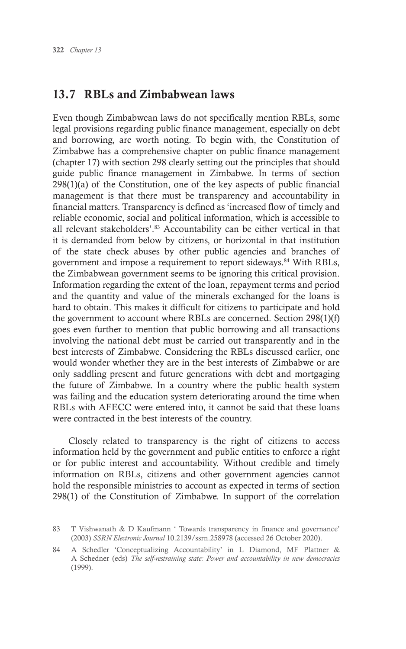# 13.7 RBLs and Zimbabwean laws

Even though Zimbabwean laws do not specifically mention RBLs, some legal provisions regarding public finance management, especially on debt and borrowing, are worth noting. To begin with, the Constitution of Zimbabwe has a comprehensive chapter on public finance management (chapter 17) with section 298 clearly setting out the principles that should guide public finance management in Zimbabwe. In terms of section  $298(1)(a)$  of the Constitution, one of the key aspects of public financial management is that there must be transparency and accountability in financial matters. Transparency is defined as 'increased flow of timely and reliable economic, social and political information, which is accessible to all relevant stakeholders'.<sup>83</sup> Accountability can be either vertical in that it is demanded from below by citizens, or horizontal in that institution of the state check abuses by other public agencies and branches of government and impose a requirement to report sideways.<sup>84</sup> With RBLs, the Zimbabwean government seems to be ignoring this critical provision. Information regarding the extent of the loan, repayment terms and period and the quantity and value of the minerals exchanged for the loans is hard to obtain. This makes it difficult for citizens to participate and hold the government to account where RBLs are concerned. Section 298(1)(f) goes even further to mention that public borrowing and all transactions involving the national debt must be carried out transparently and in the best interests of Zimbabwe. Considering the RBLs discussed earlier, one would wonder whether they are in the best interests of Zimbabwe or are only saddling present and future generations with debt and mortgaging the future of Zimbabwe. In a country where the public health system was failing and the education system deteriorating around the time when RBLs with AFECC were entered into, it cannot be said that these loans were contracted in the best interests of the country.

Closely related to transparency is the right of citizens to access information held by the government and public entities to enforce a right or for public interest and accountability. Without credible and timely information on RBLs, citizens and other government agencies cannot hold the responsible ministries to account as expected in terms of section 298(1) of the Constitution of Zimbabwe. In support of the correlation

<sup>83</sup> T Vishwanath & D Kaufmann ' Towards transparency in finance and governance' (2003) *SSRN Electronic Journal* 10.2139/ssrn.258978 (accessed 26 October 2020).

<sup>84</sup> A Schedler 'Conceptualizing Accountability' in L Diamond, MF Plattner & A Schedner (eds) *The self-restraining state: Power and accountability in new democracies* (1999).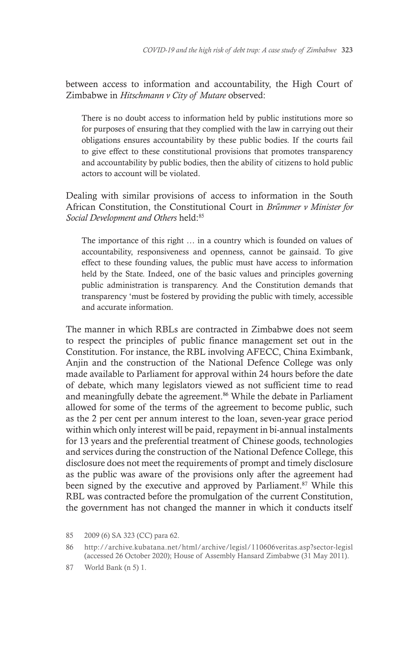between access to information and accountability, the High Court of Zimbabwe in *Hitschmann v City of Mutare* observed:

There is no doubt access to information held by public institutions more so for purposes of ensuring that they complied with the law in carrying out their obligations ensures accountability by these public bodies. If the courts fail to give effect to these constitutional provisions that promotes transparency and accountability by public bodies, then the ability of citizens to hold public actors to account will be violated.

Dealing with similar provisions of access to information in the South African Constitution, the Constitutional Court in *Brűmmer v Minister for Social Development and Others* held:85

The importance of this right … in a country which is founded on values of accountability, responsiveness and openness, cannot be gainsaid. To give effect to these founding values, the public must have access to information held by the State. Indeed, one of the basic values and principles governing public administration is transparency. And the Constitution demands that transparency 'must be fostered by providing the public with timely, accessible and accurate information.

The manner in which RBLs are contracted in Zimbabwe does not seem to respect the principles of public finance management set out in the Constitution. For instance, the RBL involving AFECC, China Eximbank, Anjin and the construction of the National Defence College was only made available to Parliament for approval within 24 hours before the date of debate, which many legislators viewed as not sufficient time to read and meaningfully debate the agreement.<sup>86</sup> While the debate in Parliament allowed for some of the terms of the agreement to become public, such as the 2 per cent per annum interest to the loan, seven-year grace period within which only interest will be paid, repayment in bi-annual instalments for 13 years and the preferential treatment of Chinese goods, technologies and services during the construction of the National Defence College, this disclosure does not meet the requirements of prompt and timely disclosure as the public was aware of the provisions only after the agreement had been signed by the executive and approved by Parliament.<sup>87</sup> While this RBL was contracted before the promulgation of the current Constitution, the government has not changed the manner in which it conducts itself

86 http://archive.kubatana.net/html/archive/legisl/110606veritas.asp?sector-legisl (accessed 26 October 2020); House of Assembly Hansard Zimbabwe (31 May 2011).

<sup>85</sup> 2009 (6) SA 323 (CC) para 62.

<sup>87</sup> World Bank (n 5) 1.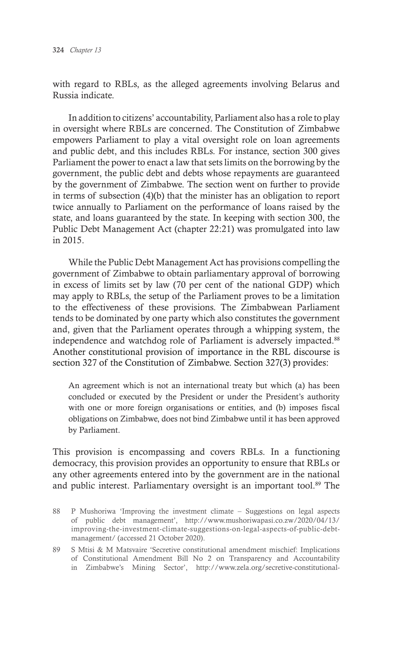with regard to RBLs, as the alleged agreements involving Belarus and Russia indicate.

In addition to citizens' accountability, Parliament also has a role to play in oversight where RBLs are concerned. The Constitution of Zimbabwe empowers Parliament to play a vital oversight role on loan agreements and public debt, and this includes RBLs. For instance, section 300 gives Parliament the power to enact a law that sets limits on the borrowing by the government, the public debt and debts whose repayments are guaranteed by the government of Zimbabwe. The section went on further to provide in terms of subsection (4)(b) that the minister has an obligation to report twice annually to Parliament on the performance of loans raised by the state, and loans guaranteed by the state. In keeping with section 300, the Public Debt Management Act (chapter 22:21) was promulgated into law in 2015.

While the Public Debt Management Act has provisions compelling the government of Zimbabwe to obtain parliamentary approval of borrowing in excess of limits set by law (70 per cent of the national GDP) which may apply to RBLs, the setup of the Parliament proves to be a limitation to the effectiveness of these provisions. The Zimbabwean Parliament tends to be dominated by one party which also constitutes the government and, given that the Parliament operates through a whipping system, the independence and watchdog role of Parliament is adversely impacted.<sup>88</sup> Another constitutional provision of importance in the RBL discourse is section 327 of the Constitution of Zimbabwe. Section 327(3) provides:

An agreement which is not an international treaty but which (a) has been concluded or executed by the President or under the President's authority with one or more foreign organisations or entities, and (b) imposes fiscal obligations on Zimbabwe, does not bind Zimbabwe until it has been approved by Parliament.

This provision is encompassing and covers RBLs. In a functioning democracy, this provision provides an opportunity to ensure that RBLs or any other agreements entered into by the government are in the national and public interest. Parliamentary oversight is an important tool.<sup>89</sup> The

- 88 P Mushoriwa 'Improving the investment climate Suggestions on legal aspects of public debt management', http://www.mushoriwapasi.co.zw/2020/04/13/ improving-the-investment-climate-suggestions-on-legal-aspects-of-public-debtmanagement/ (accessed 21 October 2020).
- 89 S Mtisi & M Matsvaire 'Secretive constitutional amendment mischief: Implications of Constitutional Amendment Bill No 2 on Transparency and Accountability in Zimbabwe's Mining Sector', http://www.zela.org/secretive-constitutional-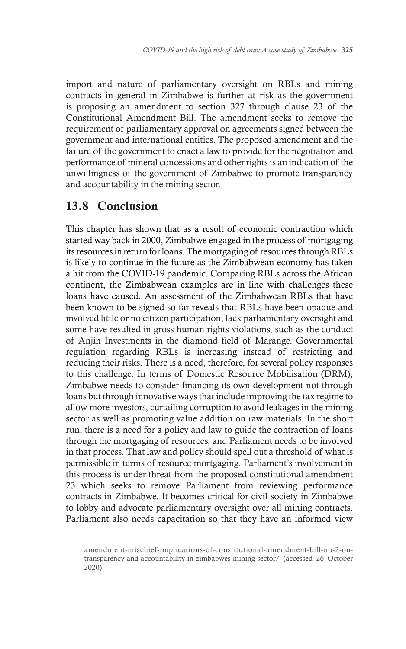import and nature of parliamentary oversight on RBLs and mining contracts in general in Zimbabwe is further at risk as the government is proposing an amendment to section 327 through clause 23 of the Constitutional Amendment Bill. The amendment seeks to remove the requirement of parliamentary approval on agreements signed between the government and international entities. The proposed amendment and the failure of the government to enact a law to provide for the negotiation and performance of mineral concessions and other rights is an indication of the unwillingness of the government of Zimbabwe to promote transparency and accountability in the mining sector.

# 13.8 Conclusion

This chapter has shown that as a result of economic contraction which started way back in 2000, Zimbabwe engaged in the process of mortgaging its resources in return for loans. The mortgaging of resources through RBLs is likely to continue in the future as the Zimbabwean economy has taken a hit from the COVID-19 pandemic. Comparing RBLs across the African continent, the Zimbabwean examples are in line with challenges these loans have caused. An assessment of the Zimbabwean RBLs that have been known to be signed so far reveals that RBLs have been opaque and involved little or no citizen participation, lack parliamentary oversight and some have resulted in gross human rights violations, such as the conduct of Anjin Investments in the diamond field of Marange. Governmental regulation regarding RBLs is increasing instead of restricting and reducing their risks. There is a need, therefore, for several policy responses to this challenge. In terms of Domestic Resource Mobilisation (DRM), Zimbabwe needs to consider financing its own development not through loans but through innovative ways that include improving the tax regime to allow more investors, curtailing corruption to avoid leakages in the mining sector as well as promoting value addition on raw materials. In the short run, there is a need for a policy and law to guide the contraction of loans through the mortgaging of resources, and Parliament needs to be involved in that process. That law and policy should spell out a threshold of what is permissible in terms of resource mortgaging. Parliament's involvement in this process is under threat from the proposed constitutional amendment 23 which seeks to remove Parliament from reviewing performance contracts in Zimbabwe. It becomes critical for civil society in Zimbabwe to lobby and advocate parliamentary oversight over all mining contracts. Parliament also needs capacitation so that they have an informed view

amendment-mischief-implications-of-constitutional-amendment-bill-no-2-ontransparency-and-accountability-in-zimbabwes-mining-sector/ (accessed 26 October 2020).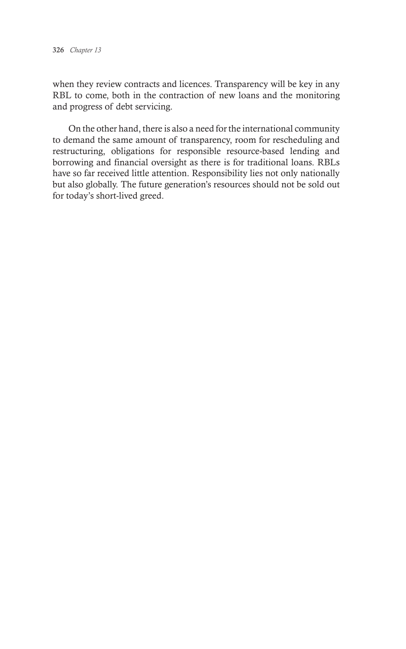when they review contracts and licences. Transparency will be key in any RBL to come, both in the contraction of new loans and the monitoring and progress of debt servicing.

On the other hand, there is also a need for the international community to demand the same amount of transparency, room for rescheduling and restructuring, obligations for responsible resource-based lending and borrowing and financial oversight as there is for traditional loans. RBLs have so far received little attention. Responsibility lies not only nationally but also globally. The future generation's resources should not be sold out for today's short-lived greed.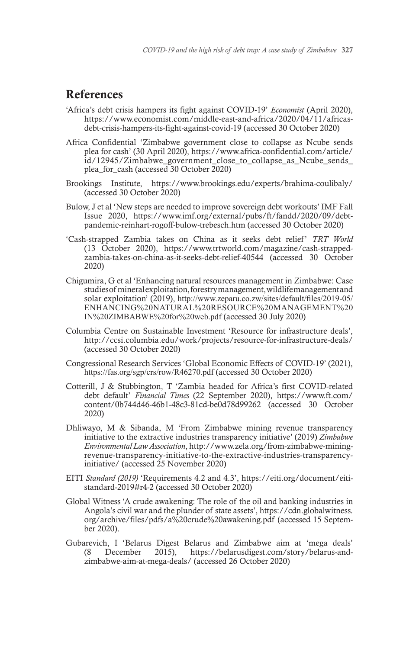# References

- 'Africa's debt crisis hampers its fight against COVID-19' *Economist* (April 2020), https://www.economist.com/middle-east-and-africa/2020/04/11/africasdebt-crisis-hampers-its-fight-against-covid-19 (accessed 30 October 2020)
- Africa Confidential 'Zimbabwe government close to collapse as Ncube sends plea for cash' (30 April 2020), https://www.africa-confidential.com/article/ id/12945/Zimbabwe\_government\_close\_to\_collapse\_as\_Ncube\_sends\_ plea\_for\_cash (accessed 30 October 2020)
- Brookings Institute, https://www.brookings.edu/experts/brahima-coulibaly/ (accessed 30 October 2020)
- Bulow, J et al 'New steps are needed to improve sovereign debt workouts' IMF Fall Issue 2020, https://www.imf.org/external/pubs/ft/fandd/2020/09/debtpandemic-reinhart-rogoff-bulow-trebesch.htm (accessed 30 October 2020)
- 'Cash-strapped Zambia takes on China as it seeks debt relief' *TRT World*  (13 October 2020), https://www.trtworld.com/magazine/cash-strappedzambia-takes-on-china-as-it-seeks-debt-relief-40544 (accessed 30 October 2020)
- Chigumira, G et al 'Enhancing natural resources management in Zimbabwe: Case studies of mineral exploitation, forestry management, wildlife management and solar exploitation' (2019), http://www.zeparu.co.zw/sites/default/files/2019-05/ ENHANCING%20NATURAL%20RESOURCE%20MANAGEMENT%20 IN%20ZIMBABWE%20for%20web.pdf (accessed 30 July 2020)
- Columbia Centre on Sustainable Investment 'Resource for infrastructure deals', http://ccsi.columbia.edu/work/projects/resource-for-infrastructure-deals/ (accessed 30 October 2020)
- Congressional Research Services 'Global Economic Effects of COVID-19' (2021), https://fas.org/sgp/crs/row/R46270.pdf (accessed 30 October 2020)
- Cotterill, J & Stubbington, T 'Zambia headed for Africa's first COVID-related debt default' *Financial Times* (22 September 2020), https://www.ft.com/ content/0b744d46-46b1-48c3-81cd-be0d78d99262 (accessed 30 October 2020)
- Dhliwayo, M & Sibanda, M 'From Zimbabwe mining revenue transparency initiative to the extractive industries transparency initiative' (2019) *Zimbabwe Environmental Law Association*, http://www.zela.org/from-zimbabwe-miningrevenue-transparency-initiative-to-the-extractive-industries-transparencyinitiative/ (accessed 25 November 2020)
- EITI *Standard (2019)* 'Requirements 4.2 and 4.3', https://eiti.org/document/eitistandard-2019#r4-2 (accessed 30 October 2020)
- Global Witness 'A crude awakening: The role of the oil and banking industries in Angola's civil war and the plunder of state assets', https://cdn.globalwitness. org/archive/files/pdfs/a%20crude%20awakening.pdf (accessed 15 September 2020).
- Gubarevich, I 'Belarus Digest Belarus and Zimbabwe aim at 'mega deals' (8 December 2015), https://belarusdigest.com/story/belarus-andzimbabwe-aim-at-mega-deals/ (accessed 26 October 2020)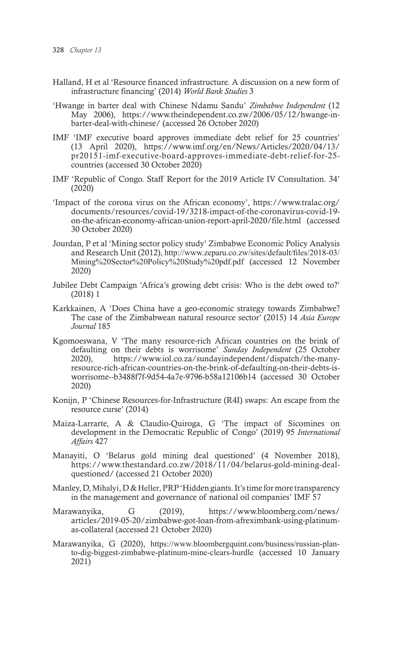- Halland, H et al 'Resource financed infrastructure. A discussion on a new form of infrastructure financing' (2014) *World Bank Studies* 3
- 'Hwange in barter deal with Chinese Ndamu Sandu' *Zimbabwe Independent* (12 May 2006), https://www.theindependent.co.zw/2006/05/12/hwange-inbarter-deal-with-chinese/ (accessed 26 October 2020)
- IMF 'IMF executive board approves immediate debt relief for 25 countries' (13 April 2020), https://www.imf.org/en/News/Articles/2020/04/13/ pr20151-imf-executive-board-approves-immediate-debt-relief-for-25 countries (accessed 30 October 2020)
- IMF 'Republic of Congo. Staff Report for the 2019 Article IV Consultation. 34' (2020)
- 'Impact of the corona virus on the African economy', https://www.tralac.org/ documents/resources/covid-19/3218-impact-of-the-coronavirus-covid-19 on-the-african-economy-african-union-report-april-2020/file.html (accessed 30 October 2020)
- Jourdan, P et al 'Mining sector policy study' Zimbabwe Economic Policy Analysis and Research Unit (2012), http://www.zeparu.co.zw/sites/default/files/2018-03/ Mining%20Sector%20Policy%20Study%20pdf.pdf (accessed 12 November 2020)
- Jubilee Debt Campaign 'Africa's growing debt crisis: Who is the debt owed to?' (2018) 1
- Karkkainen, A 'Does China have a geo-economic strategy towards Zimbabwe? The case of the Zimbabwean natural resource sector' (2015) 14 *Asia Europe Journal* 185
- Kgomoeswana, V 'The many resource-rich African countries on the brink of defaulting on their debts is worrisome' *Sunday Independent* (25 October 2020), https://www.iol.co.za/sundayindependent/dispatch/the-manyresource-rich-african-countries-on-the-brink-of-defaulting-on-their-debts-isworrisome--b3488f7f-9d54-4a7e-9796-b58a12106b14 (accessed 30 October 2020)
- Konijn, P 'Chinese Resources-for-Infrastructure (R4I) swaps: An escape from the resource curse' (2014)
- Maiza-Larrarte, A & Claudio-Quiroga, G 'The impact of Sicomines on development in the Democratic Republic of Congo' (2019) 95 *International Affairs* 427
- Manayiti, O 'Belarus gold mining deal questioned' (4 November 2018), https://www.thestandard.co.zw/2018/11/04/belarus-gold-mining-dealquestioned/ (accessed 21 October 2020)
- Manley, D, Mihalyi, D & Heller, PRP 'Hidden giants. It's time for more transparency in the management and governance of national oil companies' IMF 57
- Marawanyika, G (2019), https://www.bloomberg.com/news/ articles/2019-05-20/zimbabwe-got-loan-from-afreximbank-using-platinumas-collateral (accessed 21 October 2020)
- Marawanyika, G (2020), https://www.bloombergquint.com/business/russian-planto-dig-biggest-zimbabwe-platinum-mine-clears-hurdle (accessed 10 January 2021)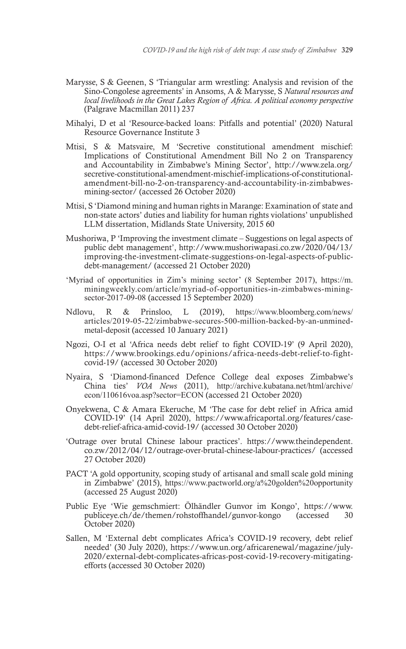- Marysse, S & Geenen, S 'Triangular arm wrestling: Analysis and revision of the Sino-Congolese agreements' in Ansoms, A & Marysse, S *Natural resources and local livelihoods in the Great Lakes Region of Africa. A political economy perspective* (Palgrave Macmillan 2011) 237
- Mihalyi, D et al 'Resource-backed loans: Pitfalls and potential' (2020) Natural Resource Governance Institute 3
- Mtisi, S & Matsvaire, M 'Secretive constitutional amendment mischief: Implications of Constitutional Amendment Bill No 2 on Transparency and Accountability in Zimbabwe's Mining Sector', http://www.zela.org/ secretive-constitutional-amendment-mischief-implications-of-constitutionalamendment-bill-no-2-on-transparency-and-accountability-in-zimbabwesmining-sector/ (accessed 26 October 2020)
- Mtisi, S 'Diamond mining and human rights in Marange: Examination of state and non-state actors' duties and liability for human rights violations' unpublished LLM dissertation, Midlands State University, 2015 60
- Mushoriwa, P 'Improving the investment climate Suggestions on legal aspects of public debt management', http://www.mushoriwapasi.co.zw/2020/04/13/ improving-the-investment-climate-suggestions-on-legal-aspects-of-publicdebt-management/ (accessed 21 October 2020)
- 'Myriad of opportunities in Zim's mining sector' (8 September 2017), https://m. miningweekly.com/article/myriad-of-opportunities-in-zimbabwes-miningsector-2017-09-08 (accessed 15 September 2020)
- Ndlovu, R & Prinsloo, L (2019), https://www.bloomberg.com/news/ articles/2019-05-22/zimbabwe-secures-500-million-backed-by-an-unminedmetal-deposit (accessed 10 January 2021)
- Ngozi, O-I et al 'Africa needs debt relief to fight COVID-19' (9 April 2020), https://www.brookings.edu/opinions/africa-needs-debt-relief-to-fightcovid-19/ (accessed 30 October 2020)
- Nyaira, S 'Diamond-financed Defence College deal exposes Zimbabwe's China ties' *VOA News* (2011), http://archive.kubatana.net/html/archive/ econ/110616voa.asp?sector=ECON (accessed 21 October 2020)
- Onyekwena, C & Amara Ekeruche, M 'The case for debt relief in Africa amid COVID-19' (14 April 2020), https://www.africaportal.org/features/casedebt-relief-africa-amid-covid-19/ (accessed 30 October 2020)
- 'Outrage over brutal Chinese labour practices'. https://www.theindependent. co.zw/2012/04/12/outrage-over-brutal-chinese-labour-practices/ (accessed 27 October 2020)
- PACT 'A gold opportunity, scoping study of artisanal and small scale gold mining in Zimbabwe' (2015), https://www.pactworld.org/a%20golden%20opportunity (accessed 25 August 2020)
- Public Eye 'Wie gemschmiert: Ölhändler Gunvor im Kongo', https://www. publiceye.ch/de/themen/rohstoffhandel/gunvor-kongo (accessed 30 October 2020)
- Sallen, M 'External debt complicates Africa's COVID-19 recovery, debt relief needed' (30 July 2020), https://www.un.org/africarenewal/magazine/july-2020/external-debt-complicates-africas-post-covid-19-recovery-mitigatingefforts (accessed 30 October 2020)